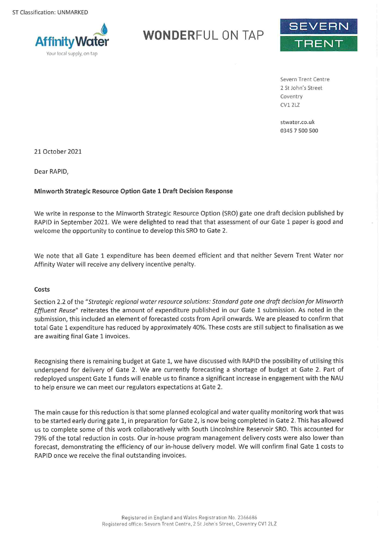

# **WONDERFUL ON TAP**



Severn Trent Centre 2 St John's Street Coventry **CV1 2LZ** 

stwater.co.uk 0345 7 500 500

21 October 2021

Dear RAPID,

## Minworth Strategic Resource Option Gate 1 Draft Decision Response

We write in response to the Minworth Strategic Resource Option (SRO) gate one draft decision published by RAPID in September 2021. We were delighted to read that that assessment of our Gate 1 paper is good and welcome the opportunity to continue to develop this SRO to Gate 2.

We note that all Gate 1 expenditure has been deemed efficient and that neither Severn Trent Water nor Affinity Water will receive any delivery incentive penalty.

#### Costs

Section 2.2 of the "Strategic regional water resource solutions: Standard gate one draft decision for Minworth Effluent Reuse" reiterates the amount of expenditure published in our Gate 1 submission. As noted in the submission, this included an element of forecasted costs from April onwards. We are pleased to confirm that total Gate 1 expenditure has reduced by approximately 40%. These costs are still subject to finalisation as we are awaiting final Gate 1 invoices.

Recognising there is remaining budget at Gate 1, we have discussed with RAPID the possibility of utilising this underspend for delivery of Gate 2. We are currently forecasting a shortage of budget at Gate 2. Part of redeployed unspent Gate 1 funds will enable us to finance a significant increase in engagement with the NAU to help ensure we can meet our regulators expectations at Gate 2.

The main cause for this reduction is that some planned ecological and water quality monitoring work that was to be started early during gate 1, in preparation for Gate 2, is now being completed in Gate 2. This has allowed us to complete some of this work collaboratively with South Lincolnshire Reservoir SRO. This accounted for 79% of the total reduction in costs. Our in-house program management delivery costs were also lower than forecast, demonstrating the efficiency of our in-house delivery model. We will confirm final Gate 1 costs to RAPID once we receive the final outstanding invoices.